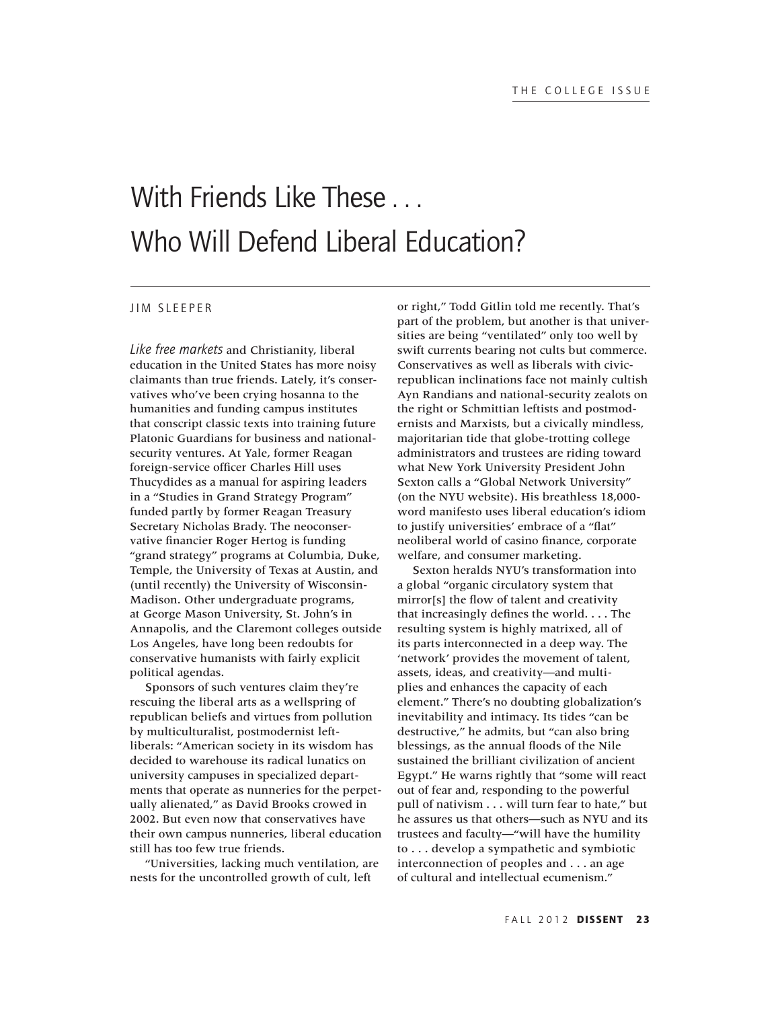## With Friends Like These Who Will Defend Liberal Education?

## JIM SLEEPER

*Like free markets* and Christianity, liberal education in the United States has more noisy claimants than true friends. Lately, it's conservatives who've been crying hosanna to the humanities and funding campus institutes that conscript classic texts into training future Platonic Guardians for business and nationalsecurity ventures. At Yale, former Reagan foreign-service officer Charles Hill uses Thucydides as a manual for aspiring leaders in a "Studies in Grand Strategy Program" funded partly by former Reagan Treasury Secretary Nicholas Brady. The neoconservative financier Roger Hertog is funding "grand strategy" programs at Columbia, Duke, Temple, the University of Texas at Austin, and (until recently) the University of Wisconsin-Madison. Other undergraduate programs, at George Mason University, St. John's in Annapolis, and the Claremont colleges outside Los Angeles, have long been redoubts for conservative humanists with fairly explicit political agendas.

Sponsors of such ventures claim they're rescuing the liberal arts as a wellspring of republican beliefs and virtues from pollution by multiculturalist, postmodernist leftliberals: "American society in its wisdom has decided to warehouse its radical lunatics on university campuses in specialized departments that operate as nunneries for the perpetually alienated," as David Brooks crowed in 2002. But even now that conservatives have their own campus nunneries, liberal education still has too few true friends.

"Universities, lacking much ventilation, are nests for the uncontrolled growth of cult, left

or right," Todd Gitlin told me recently. That's part of the problem, but another is that universities are being "ventilated" only too well by swift currents bearing not cults but commerce. Conservatives as well as liberals with civicrepublican inclinations face not mainly cultish Ayn Randians and national-security zealots on the right or Schmittian leftists and postmodernists and Marxists, but a civically mindless, majoritarian tide that globe-trotting college administrators and trustees are riding toward what New York University President John Sexton calls a "Global Network University" (on the NYU website). His breathless 18,000 word manifesto uses liberal education's idiom to justify universities' embrace of a "flat" neoliberal world of casino finance, corporate welfare, and consumer marketing.

Sexton heralds NYU's transformation into a global "organic circulatory system that mirror[s] the flow of talent and creativity that increasingly defines the world.  $\dots$  The resulting system is highly matrixed, all of its parts interconnected in a deep way. The 'network' provides the movement of talent, assets, ideas, and creativity—and multiplies and enhances the capacity of each element." There's no doubting globalization's inevitability and intimacy. Its tides "can be destructive," he admits, but "can also bring blessings, as the annual floods of the Nile sustained the brilliant civilization of ancient Egypt." He warns rightly that "some will react out of fear and, responding to the powerful pull of nativism . . . will turn fear to hate," but he assures us that others—such as NYU and its trustees and faculty—"will have the humility to . . . develop a sympathetic and symbiotic interconnection of peoples and . . . an age of cultural and intellectual ecumenism."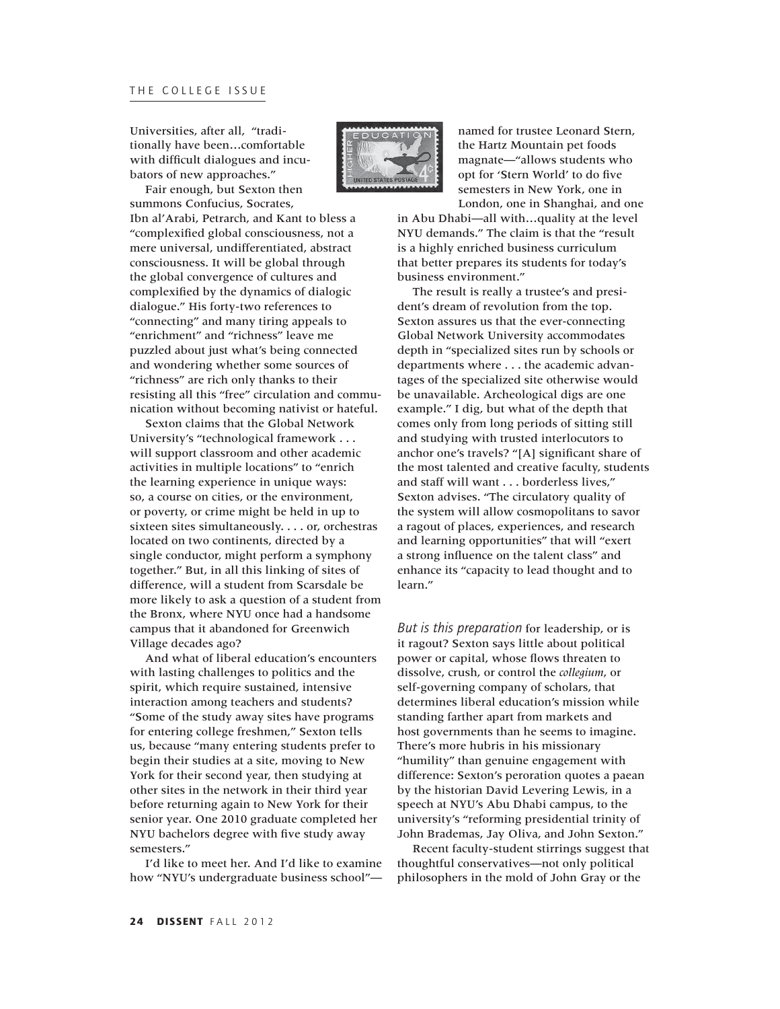Universities, after all, "traditionally have been…comfortable with difficult dialogues and incubators of new approaches."

Fair enough, but Sexton then summons Confucius, Socrates,

Ibn al'Arabi, Petrarch, and Kant to bless a "complexified global consciousness, not a mere universal, undifferentiated, abstract consciousness. It will be global through the global convergence of cultures and complexified by the dynamics of dialogic dialogue." His forty-two references to "connecting" and many tiring appeals to "enrichment" and "richness" leave me puzzled about just what's being connected and wondering whether some sources of "richness" are rich only thanks to their resisting all this "free" circulation and communication without becoming nativist or hateful.

Sexton claims that the Global Network University's "technological framework . . . will support classroom and other academic activities in multiple locations" to "enrich the learning experience in unique ways: so, a course on cities, or the environment, or poverty, or crime might be held in up to sixteen sites simultaneously. . . . or, orchestras located on two continents, directed by a single conductor, might perform a symphony together." But, in all this linking of sites of difference, will a student from Scarsdale be more likely to ask a question of a student from the Bronx, where NYU once had a handsome campus that it abandoned for Greenwich Village decades ago?

And what of liberal education's encounters with lasting challenges to politics and the spirit, which require sustained, intensive interaction among teachers and students? "Some of the study away sites have programs for entering college freshmen," Sexton tells us, because "many entering students prefer to begin their studies at a site, moving to New York for their second year, then studying at other sites in the network in their third year before returning again to New York for their senior year. One 2010 graduate completed her NYU bachelors degree with five study away semesters."

I'd like to meet her. And I'd like to examine how "NYU's undergraduate business school"—



named for trustee Leonard Stern, the Hartz Mountain pet foods magnate—"allows students who opt for 'Stern World' to do five semesters in New York, one in London, one in Shanghai, and one

in Abu Dhabi—all with…quality at the level NYU demands." The claim is that the "result is a highly enriched business curriculum that better prepares its students for today's business environment."

The result is really a trustee's and president's dream of revolution from the top. Sexton assures us that the ever-connecting Global Network University accommodates depth in "specialized sites run by schools or departments where . . . the academic advantages of the specialized site otherwise would be unavailable. Archeological digs are one example." I dig, but what of the depth that comes only from long periods of sitting still and studying with trusted interlocutors to anchor one's travels? "[A] significant share of the most talented and creative faculty, students and staff will want . . . borderless lives," Sexton advises. "The circulatory quality of the system will allow cosmopolitans to savor a ragout of places, experiences, and research and learning opportunities" that will "exert a strong influence on the talent class" and enhance its "capacity to lead thought and to learn."

*But is this preparation* for leadership, or is it ragout? Sexton says little about political power or capital, whose flows threaten to dissolve, crush, or control the *collegium*, or self-governing company of scholars, that determines liberal education's mission while standing farther apart from markets and host governments than he seems to imagine. There's more hubris in his missionary "humility" than genuine engagement with difference: Sexton's peroration quotes a paean by the historian David Levering Lewis, in a speech at NYU's Abu Dhabi campus, to the university's "reforming presidential trinity of John Brademas, Jay Oliva, and John Sexton."

Recent faculty-student stirrings suggest that thoughtful conservatives—not only political philosophers in the mold of John Gray or the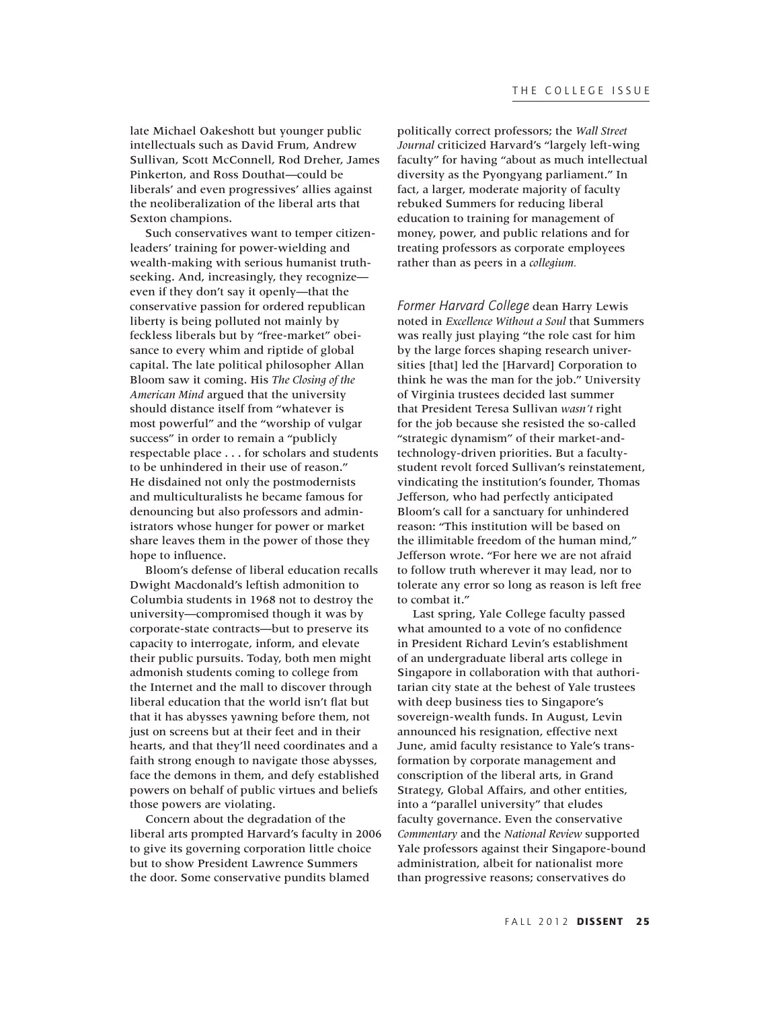late Michael Oakeshott but younger public intellectuals such as David Frum, Andrew Sullivan, Scott McConnell, Rod Dreher, James Pinkerton, and Ross Douthat—could be liberals' and even progressives' allies against the neoliberalization of the liberal arts that Sexton champions.

Such conservatives want to temper citizenleaders' training for power-wielding and wealth-making with serious humanist truthseeking. And, increasingly, they recognize even if they don't say it openly—that the conservative passion for ordered republican liberty is being polluted not mainly by feckless liberals but by "free-market" obeisance to every whim and riptide of global capital. The late political philosopher Allan Bloom saw it coming. His *The Closing of the American Mind* argued that the university should distance itself from "whatever is most powerful" and the "worship of vulgar success" in order to remain a "publicly respectable place . . . for scholars and students to be unhindered in their use of reason." He disdained not only the postmodernists and multiculturalists he became famous for denouncing but also professors and administrators whose hunger for power or market share leaves them in the power of those they hope to influence.

Bloom's defense of liberal education recalls Dwight Macdonald's leftish admonition to Columbia students in 1968 not to destroy the university—compromised though it was by corporate-state contracts—but to preserve its capacity to interrogate, inform, and elevate their public pursuits. Today, both men might admonish students coming to college from the Internet and the mall to discover through liberal education that the world isn't flat but that it has abysses yawning before them, not just on screens but at their feet and in their hearts, and that they'll need coordinates and a faith strong enough to navigate those abysses, face the demons in them, and defy established powers on behalf of public virtues and beliefs those powers are violating.

Concern about the degradation of the liberal arts prompted Harvard's faculty in 2006 to give its governing corporation little choice but to show President Lawrence Summers the door. Some conservative pundits blamed

politically correct professors; the *Wall Street Journal* criticized Harvard's "largely left-wing faculty" for having "about as much intellectual diversity as the Pyongyang parliament." In fact, a larger, moderate majority of faculty rebuked Summers for reducing liberal education to training for management of money, power, and public relations and for treating professors as corporate employees rather than as peers in a *collegium.*

*Former Harvard College* dean Harry Lewis noted in *Excellence Without a Soul* that Summers was really just playing "the role cast for him by the large forces shaping research universities [that] led the [Harvard] Corporation to think he was the man for the job." University of Virginia trustees decided last summer that President Teresa Sullivan *wasn't* right for the job because she resisted the so-called "strategic dynamism" of their market-andtechnology-driven priorities. But a facultystudent revolt forced Sullivan's reinstatement, vindicating the institution's founder, Thomas Jefferson, who had perfectly anticipated Bloom's call for a sanctuary for unhindered reason: "This institution will be based on the illimitable freedom of the human mind," Jefferson wrote. "For here we are not afraid to follow truth wherever it may lead, nor to tolerate any error so long as reason is left free to combat it."

Last spring, Yale College faculty passed what amounted to a vote of no confidence in President Richard Levin's establishment of an undergraduate liberal arts college in Singapore in collaboration with that authoritarian city state at the behest of Yale trustees with deep business ties to Singapore's sovereign-wealth funds. In August, Levin announced his resignation, effective next June, amid faculty resistance to Yale's transformation by corporate management and conscription of the liberal arts, in Grand Strategy, Global Affairs, and other entities, into a "parallel university" that eludes faculty governance. Even the conservative *Commentary* and the *National Review* supported Yale professors against their Singapore-bound administration, albeit for nationalist more than progressive reasons; conservatives do